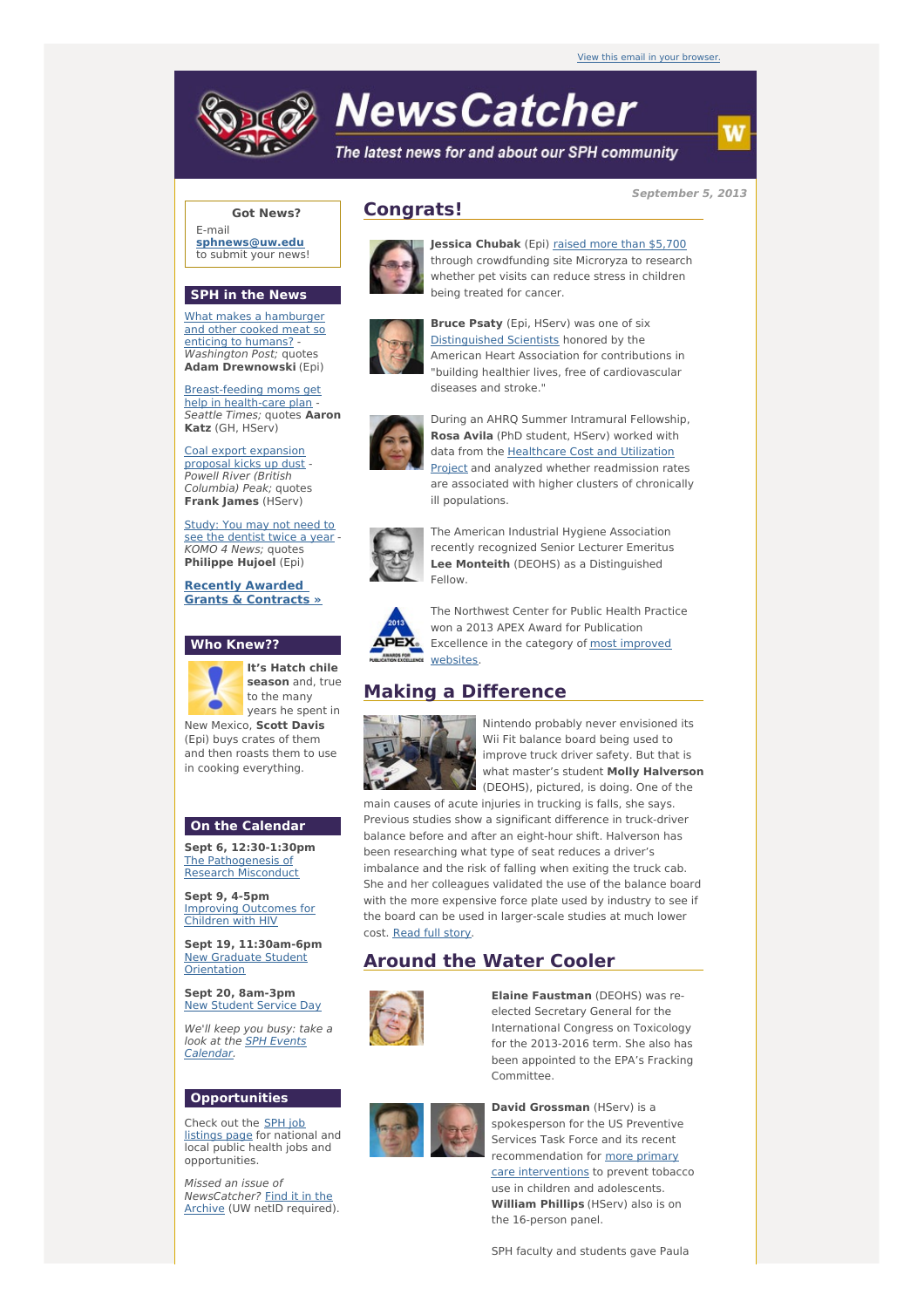

# **NewsCatcher**

The latest news for and about our SPH community

**September 5, 2013**

w

#### **Got News?**

E-mail **[sphnews@uw.edu](mailto:sphnews@uw.edu)** to submit your news!

#### **SPH in the News**

What makes a [hamburger](http://engage.washington.edu/site/R?i=UYhREKi7c9b3k6AxP6DDAw) and other cooked meat so enticing to humans? - Washington Post: quotes **Adam Drewnowski** (Epi)

[Breast-feeding](http://engage.washington.edu/site/R?i=__qOQJkLSaWRS0QscWdlJw) moms get help in health-care plan - Seattle Times; quotes **Aaron Katz** (GH, HServ)

Coal export [expansion](http://engage.washington.edu/site/R?i=0qwLYZQcUgICBaT1m7R7oQ) proposal kicks up dust - Powell River (British Columbia) Peak; quotes **Frank James** (HServ)

[Study:](http://engage.washington.edu/site/R?i=WvJNw39BroU8fEOm1kDVOw) You may not need to see the dentist twice a year KOMO 4 News; quotes **Philippe Hujoel** (Epi)

**Recently Awarded Grants & [Contracts](http://engage.washington.edu/site/R?i=8NYpCS9N0uIgbKADEngioQ) »**

### **Who Knew??**



**season** and, true to the many years he spent in New Mexico, **Scott Davis** (Epi) buys crates of them and then roasts them to use

#### **On the Calendar**

in cooking everything.

**Sept 6, 12:30-1:30pm** The [Pathogenesis](http://engage.washington.edu/site/R?i=evEyRVOzPZ_rGMB1jozAQA) of Research Misconduct

**Sept 9, 4-5pm** Improving [Outcomes](http://engage.washington.edu/site/R?i=334Y_ttcJ8GfkKUthP8p4g) for Children with HIV

**Sept 19, 11:30am-6pm** New Graduate Student **[Orientation](http://engage.washington.edu/site/R?i=GJ0Pll3HQXjFNKm45kSZjQ)** 

**Sept 20, 8am-3pm** New [Student](http://engage.washington.edu/site/R?i=L_FRD8kQeygs2Jx89DuXwg) Service Day

We'll keep you busy: take a look at the SPH Events [Calendar.](http://engage.washington.edu/site/R?i=4fKsGH6r1JAehpCvay5Fmw)

#### **Opportunities**

Check out the SPH job [listings](http://engage.washington.edu/site/R?i=F5jLhFstRhrzaa64fD5znA) page for national and local public health jobs and opportunities.

Missed an issue of [NewsCatcher?](http://engage.washington.edu/site/R?i=xYF5_PyERykIErndf1t1nQ) Find it in the Archive (UW netID required).



**Congrats!**

**Jessica Chubak** (Epi) raised more than [\\$5,700](http://engage.washington.edu/site/R?i=L3jvqK5n24qG8CGx1B_e0w) through crowdfunding site Microryza to research whether pet visits can reduce stress in children being treated for cancer.



**Bruce Psaty** (Epi, HServ) was one of six [Distinguished](http://engage.washington.edu/site/R?i=7d9dkV-ZmQ-W-GCScchyoQ) Scientists honored by the American Heart Association for contributions in "building healthier lives, free of cardiovascular diseases and stroke."



During an AHRQ Summer Intramural Fellowship, **Rosa Avila** (PhD student, HServ) worked with data from the Healthcare Cost and Utilization Project and analyzed whether [readmission](http://engage.washington.edu/site/R?i=hXaN7GPo9u6u5UteHN9Hcg) rates are associated with higher clusters of chronically ill populations.



The American Industrial Hygiene Association recently recognized Senior Lecturer Emeritus **Lee Monteith** (DEOHS) as a Distinguished Fellow.



The Northwest Center for Public Health Practice won a 2013 APEX Award for Publication [Excellence](http://engage.washington.edu/site/R?i=qOumCi-c_N02UFEztk_RtA) in the category of most improved websites.

# **Making a Difference**



Nintendo probably never envisioned its Wii Fit balance board being used to improve truck driver safety. But that is what master's student **Molly Halverson** (DEOHS), pictured, is doing. One of the

main causes of acute injuries in trucking is falls, she says. Previous studies show a significant difference in truck-driver balance before and after an eight-hour shift. Halverson has been researching what type of seat reduces a driver's imbalance and the risk of falling when exiting the truck cab. She and her colleagues validated the use of the balance board with the more expensive force plate used by industry to see if the board can be used in larger-scale studies at much lower cost. [Read](http://engage.washington.edu/site/R?i=oOeUgwPHQr5dVn0OPZ4bxw) full story.

## **Around the Water Cooler**



**Elaine Faustman** (DEOHS) was reelected Secretary General for the International Congress on Toxicology for the 2013-2016 term. She also has been appointed to the EPA's Fracking Committee.



**David Grossman** (HServ) is a spokesperson for the US Preventive Services Task Force and its recent [recommendation](http://engage.washington.edu/site/R?i=llKnyUz0VsYyTqqUepxVDw) for more primary care interventions to prevent tobacco use in children and adolescents. **William Phillips** (HServ) also is on the 16-person panel.

SPH faculty and students gave Paula